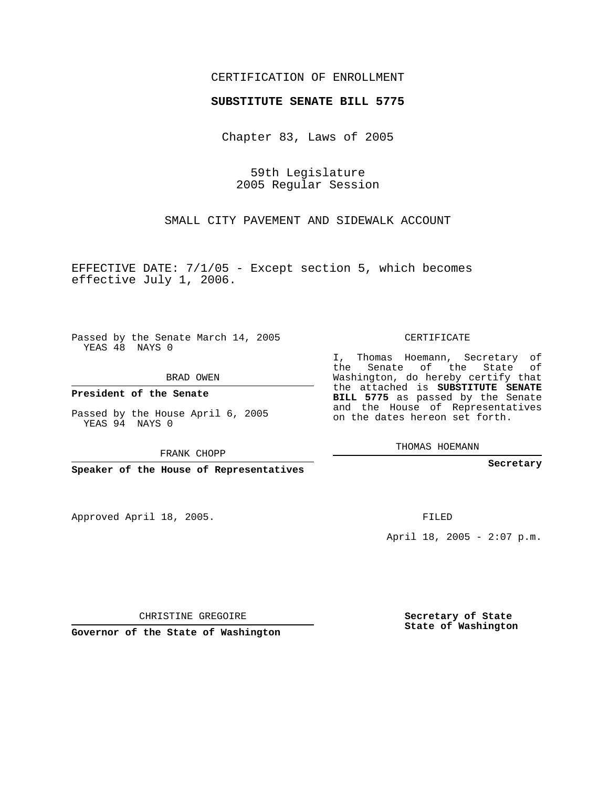## CERTIFICATION OF ENROLLMENT

## **SUBSTITUTE SENATE BILL 5775**

Chapter 83, Laws of 2005

59th Legislature 2005 Regular Session

SMALL CITY PAVEMENT AND SIDEWALK ACCOUNT

EFFECTIVE DATE: 7/1/05 - Except section 5, which becomes effective July 1, 2006.

Passed by the Senate March 14, 2005 YEAS 48 NAYS 0

BRAD OWEN

**President of the Senate**

Passed by the House April 6, 2005 YEAS 94 NAYS 0

FRANK CHOPP

**Speaker of the House of Representatives**

Approved April 18, 2005.

CERTIFICATE

I, Thomas Hoemann, Secretary of the Senate of the State of Washington, do hereby certify that the attached is **SUBSTITUTE SENATE BILL 5775** as passed by the Senate and the House of Representatives on the dates hereon set forth.

THOMAS HOEMANN

**Secretary**

FILED

April 18, 2005 - 2:07 p.m.

CHRISTINE GREGOIRE

**Governor of the State of Washington**

**Secretary of State State of Washington**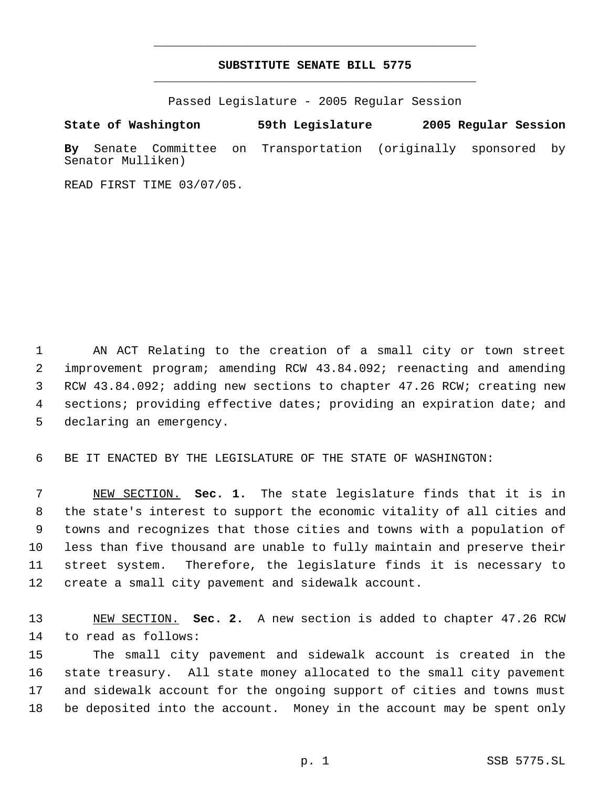## **SUBSTITUTE SENATE BILL 5775** \_\_\_\_\_\_\_\_\_\_\_\_\_\_\_\_\_\_\_\_\_\_\_\_\_\_\_\_\_\_\_\_\_\_\_\_\_\_\_\_\_\_\_\_\_

\_\_\_\_\_\_\_\_\_\_\_\_\_\_\_\_\_\_\_\_\_\_\_\_\_\_\_\_\_\_\_\_\_\_\_\_\_\_\_\_\_\_\_\_\_

Passed Legislature - 2005 Regular Session

## **State of Washington 59th Legislature 2005 Regular Session**

**By** Senate Committee on Transportation (originally sponsored by Senator Mulliken)

READ FIRST TIME 03/07/05.

 AN ACT Relating to the creation of a small city or town street improvement program; amending RCW 43.84.092; reenacting and amending RCW 43.84.092; adding new sections to chapter 47.26 RCW; creating new sections; providing effective dates; providing an expiration date; and declaring an emergency.

BE IT ENACTED BY THE LEGISLATURE OF THE STATE OF WASHINGTON:

 NEW SECTION. **Sec. 1.** The state legislature finds that it is in the state's interest to support the economic vitality of all cities and towns and recognizes that those cities and towns with a population of less than five thousand are unable to fully maintain and preserve their street system. Therefore, the legislature finds it is necessary to create a small city pavement and sidewalk account.

 NEW SECTION. **Sec. 2.** A new section is added to chapter 47.26 RCW to read as follows:

 The small city pavement and sidewalk account is created in the state treasury. All state money allocated to the small city pavement and sidewalk account for the ongoing support of cities and towns must be deposited into the account. Money in the account may be spent only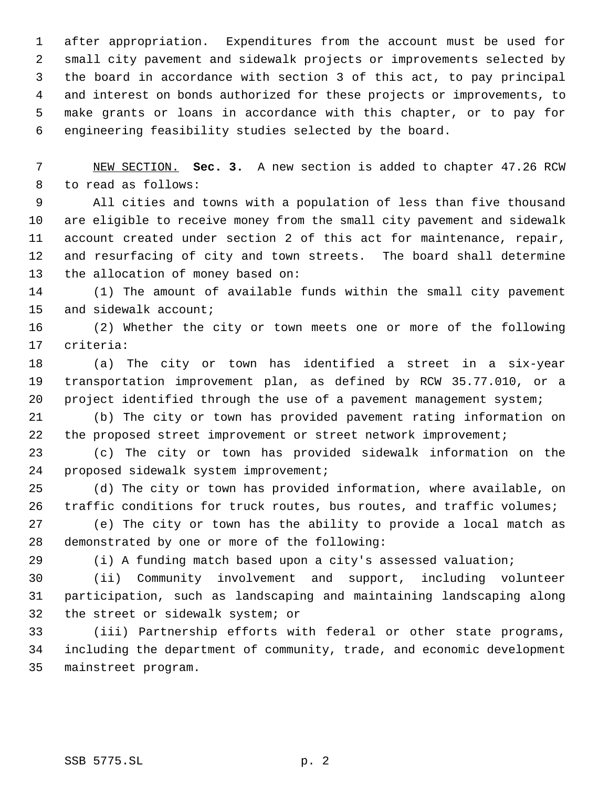after appropriation. Expenditures from the account must be used for small city pavement and sidewalk projects or improvements selected by the board in accordance with section 3 of this act, to pay principal and interest on bonds authorized for these projects or improvements, to make grants or loans in accordance with this chapter, or to pay for engineering feasibility studies selected by the board.

 NEW SECTION. **Sec. 3.** A new section is added to chapter 47.26 RCW to read as follows:

 All cities and towns with a population of less than five thousand are eligible to receive money from the small city pavement and sidewalk account created under section 2 of this act for maintenance, repair, and resurfacing of city and town streets. The board shall determine the allocation of money based on:

 (1) The amount of available funds within the small city pavement and sidewalk account;

 (2) Whether the city or town meets one or more of the following criteria:

 (a) The city or town has identified a street in a six-year transportation improvement plan, as defined by RCW 35.77.010, or a project identified through the use of a pavement management system;

 (b) The city or town has provided pavement rating information on 22 the proposed street improvement or street network improvement;

 (c) The city or town has provided sidewalk information on the proposed sidewalk system improvement;

 (d) The city or town has provided information, where available, on traffic conditions for truck routes, bus routes, and traffic volumes;

 (e) The city or town has the ability to provide a local match as demonstrated by one or more of the following:

(i) A funding match based upon a city's assessed valuation;

 (ii) Community involvement and support, including volunteer participation, such as landscaping and maintaining landscaping along the street or sidewalk system; or

 (iii) Partnership efforts with federal or other state programs, including the department of community, trade, and economic development mainstreet program.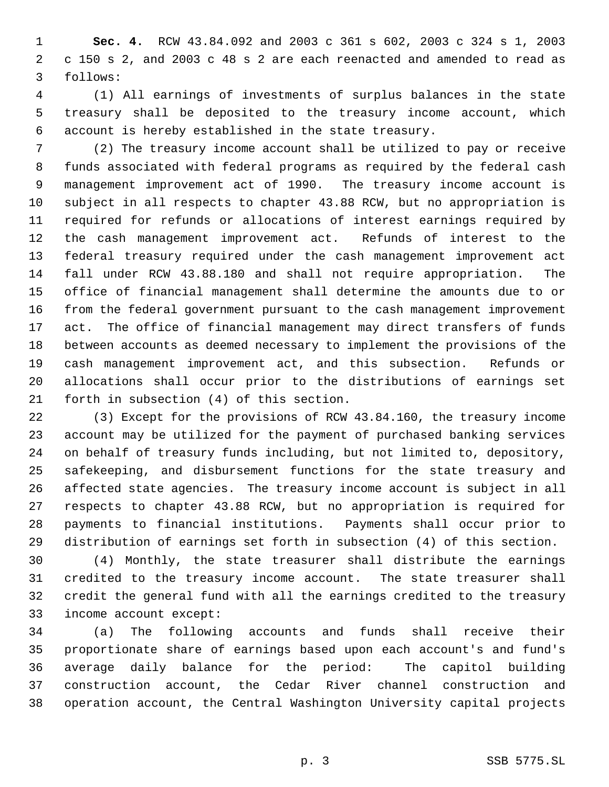**Sec. 4.** RCW 43.84.092 and 2003 c 361 s 602, 2003 c 324 s 1, 2003 c 150 s 2, and 2003 c 48 s 2 are each reenacted and amended to read as follows:

 (1) All earnings of investments of surplus balances in the state treasury shall be deposited to the treasury income account, which account is hereby established in the state treasury.

 (2) The treasury income account shall be utilized to pay or receive funds associated with federal programs as required by the federal cash management improvement act of 1990. The treasury income account is subject in all respects to chapter 43.88 RCW, but no appropriation is required for refunds or allocations of interest earnings required by the cash management improvement act. Refunds of interest to the federal treasury required under the cash management improvement act fall under RCW 43.88.180 and shall not require appropriation. The office of financial management shall determine the amounts due to or from the federal government pursuant to the cash management improvement act. The office of financial management may direct transfers of funds between accounts as deemed necessary to implement the provisions of the cash management improvement act, and this subsection. Refunds or allocations shall occur prior to the distributions of earnings set forth in subsection (4) of this section.

 (3) Except for the provisions of RCW 43.84.160, the treasury income account may be utilized for the payment of purchased banking services on behalf of treasury funds including, but not limited to, depository, safekeeping, and disbursement functions for the state treasury and affected state agencies. The treasury income account is subject in all respects to chapter 43.88 RCW, but no appropriation is required for payments to financial institutions. Payments shall occur prior to distribution of earnings set forth in subsection (4) of this section.

 (4) Monthly, the state treasurer shall distribute the earnings credited to the treasury income account. The state treasurer shall credit the general fund with all the earnings credited to the treasury income account except:

 (a) The following accounts and funds shall receive their proportionate share of earnings based upon each account's and fund's average daily balance for the period: The capitol building construction account, the Cedar River channel construction and operation account, the Central Washington University capital projects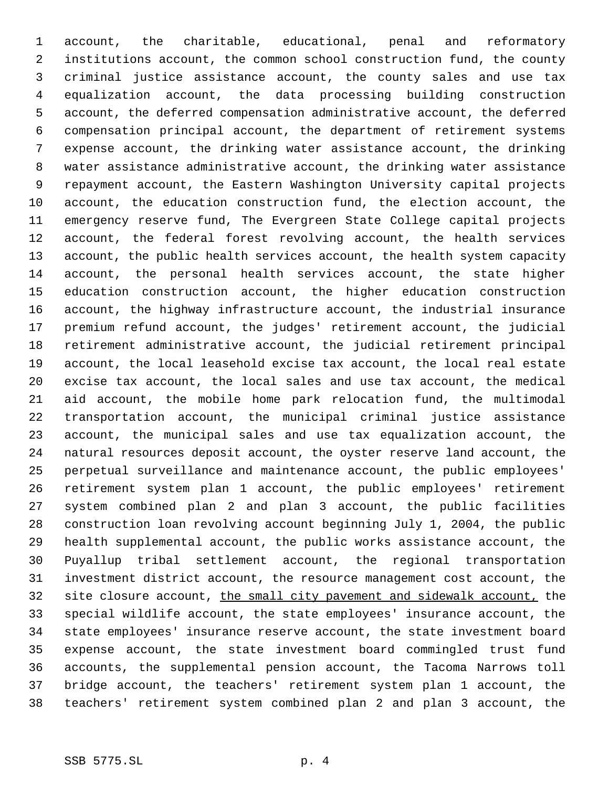account, the charitable, educational, penal and reformatory institutions account, the common school construction fund, the county criminal justice assistance account, the county sales and use tax equalization account, the data processing building construction account, the deferred compensation administrative account, the deferred compensation principal account, the department of retirement systems expense account, the drinking water assistance account, the drinking water assistance administrative account, the drinking water assistance repayment account, the Eastern Washington University capital projects account, the education construction fund, the election account, the emergency reserve fund, The Evergreen State College capital projects account, the federal forest revolving account, the health services account, the public health services account, the health system capacity account, the personal health services account, the state higher education construction account, the higher education construction account, the highway infrastructure account, the industrial insurance premium refund account, the judges' retirement account, the judicial retirement administrative account, the judicial retirement principal account, the local leasehold excise tax account, the local real estate excise tax account, the local sales and use tax account, the medical aid account, the mobile home park relocation fund, the multimodal transportation account, the municipal criminal justice assistance account, the municipal sales and use tax equalization account, the natural resources deposit account, the oyster reserve land account, the perpetual surveillance and maintenance account, the public employees' retirement system plan 1 account, the public employees' retirement system combined plan 2 and plan 3 account, the public facilities construction loan revolving account beginning July 1, 2004, the public health supplemental account, the public works assistance account, the Puyallup tribal settlement account, the regional transportation investment district account, the resource management cost account, the 32 site closure account, the small city pavement and sidewalk account, the special wildlife account, the state employees' insurance account, the state employees' insurance reserve account, the state investment board expense account, the state investment board commingled trust fund accounts, the supplemental pension account, the Tacoma Narrows toll bridge account, the teachers' retirement system plan 1 account, the teachers' retirement system combined plan 2 and plan 3 account, the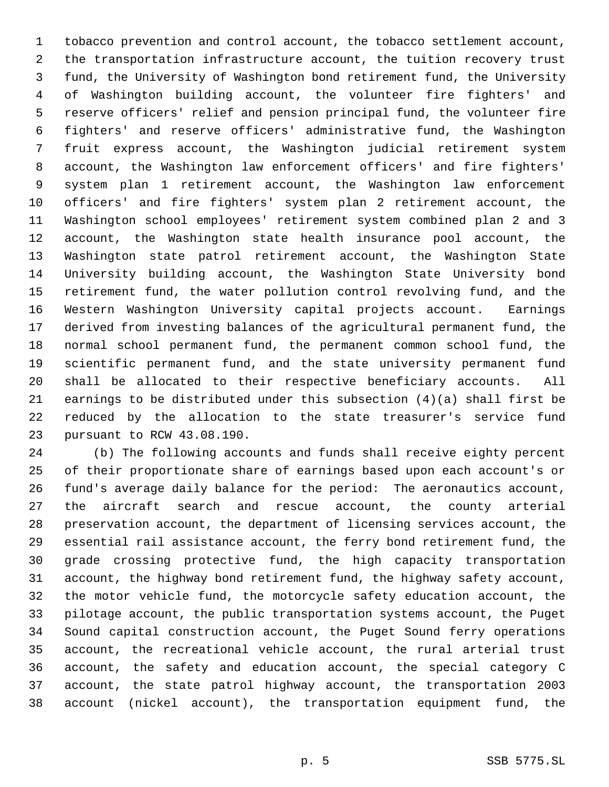tobacco prevention and control account, the tobacco settlement account, the transportation infrastructure account, the tuition recovery trust fund, the University of Washington bond retirement fund, the University of Washington building account, the volunteer fire fighters' and reserve officers' relief and pension principal fund, the volunteer fire fighters' and reserve officers' administrative fund, the Washington fruit express account, the Washington judicial retirement system account, the Washington law enforcement officers' and fire fighters' system plan 1 retirement account, the Washington law enforcement officers' and fire fighters' system plan 2 retirement account, the Washington school employees' retirement system combined plan 2 and 3 account, the Washington state health insurance pool account, the Washington state patrol retirement account, the Washington State University building account, the Washington State University bond retirement fund, the water pollution control revolving fund, and the Western Washington University capital projects account. Earnings derived from investing balances of the agricultural permanent fund, the normal school permanent fund, the permanent common school fund, the scientific permanent fund, and the state university permanent fund shall be allocated to their respective beneficiary accounts. All earnings to be distributed under this subsection (4)(a) shall first be reduced by the allocation to the state treasurer's service fund pursuant to RCW 43.08.190.

 (b) The following accounts and funds shall receive eighty percent of their proportionate share of earnings based upon each account's or fund's average daily balance for the period: The aeronautics account, the aircraft search and rescue account, the county arterial preservation account, the department of licensing services account, the essential rail assistance account, the ferry bond retirement fund, the grade crossing protective fund, the high capacity transportation account, the highway bond retirement fund, the highway safety account, the motor vehicle fund, the motorcycle safety education account, the pilotage account, the public transportation systems account, the Puget Sound capital construction account, the Puget Sound ferry operations account, the recreational vehicle account, the rural arterial trust account, the safety and education account, the special category C account, the state patrol highway account, the transportation 2003 account (nickel account), the transportation equipment fund, the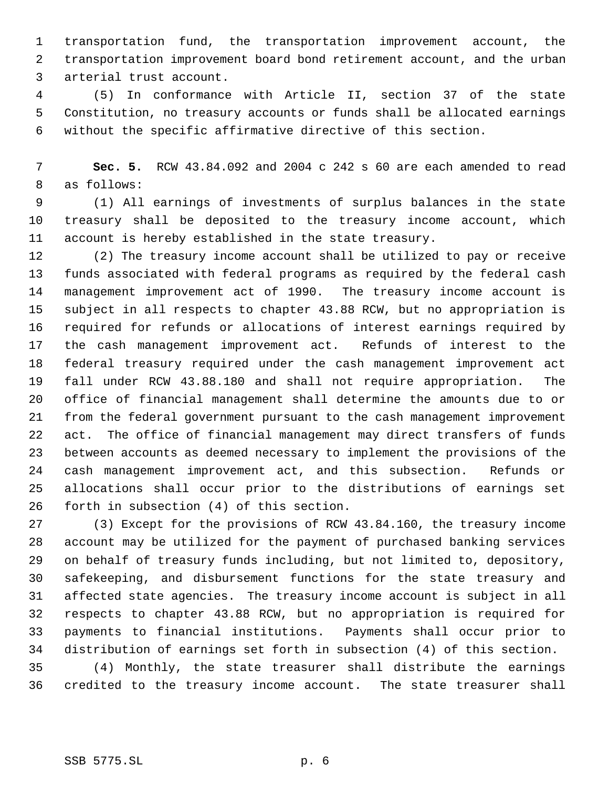transportation fund, the transportation improvement account, the transportation improvement board bond retirement account, and the urban arterial trust account.

 (5) In conformance with Article II, section 37 of the state Constitution, no treasury accounts or funds shall be allocated earnings without the specific affirmative directive of this section.

 **Sec. 5.** RCW 43.84.092 and 2004 c 242 s 60 are each amended to read as follows:

 (1) All earnings of investments of surplus balances in the state treasury shall be deposited to the treasury income account, which account is hereby established in the state treasury.

 (2) The treasury income account shall be utilized to pay or receive funds associated with federal programs as required by the federal cash management improvement act of 1990. The treasury income account is subject in all respects to chapter 43.88 RCW, but no appropriation is required for refunds or allocations of interest earnings required by the cash management improvement act. Refunds of interest to the federal treasury required under the cash management improvement act fall under RCW 43.88.180 and shall not require appropriation. The office of financial management shall determine the amounts due to or from the federal government pursuant to the cash management improvement act. The office of financial management may direct transfers of funds between accounts as deemed necessary to implement the provisions of the cash management improvement act, and this subsection. Refunds or allocations shall occur prior to the distributions of earnings set forth in subsection (4) of this section.

 (3) Except for the provisions of RCW 43.84.160, the treasury income account may be utilized for the payment of purchased banking services on behalf of treasury funds including, but not limited to, depository, safekeeping, and disbursement functions for the state treasury and affected state agencies. The treasury income account is subject in all respects to chapter 43.88 RCW, but no appropriation is required for payments to financial institutions. Payments shall occur prior to distribution of earnings set forth in subsection (4) of this section.

 (4) Monthly, the state treasurer shall distribute the earnings credited to the treasury income account. The state treasurer shall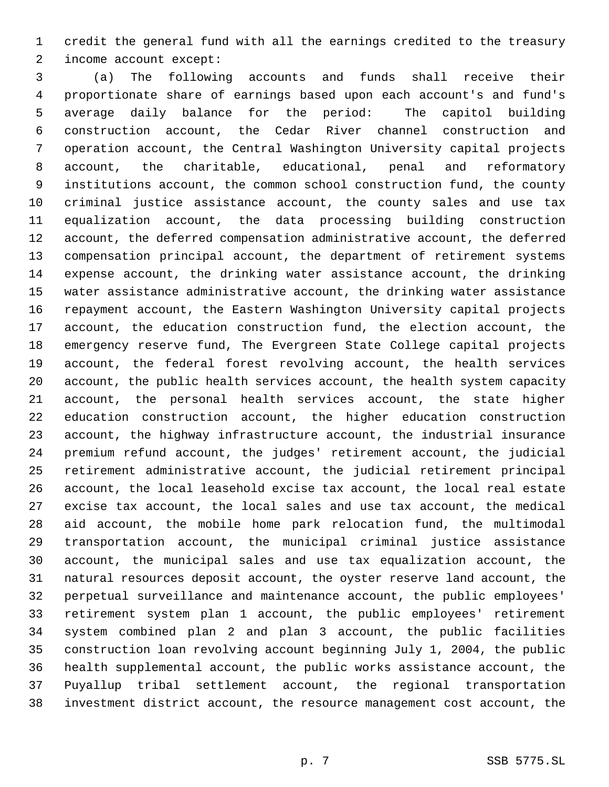credit the general fund with all the earnings credited to the treasury income account except:

 (a) The following accounts and funds shall receive their proportionate share of earnings based upon each account's and fund's average daily balance for the period: The capitol building construction account, the Cedar River channel construction and operation account, the Central Washington University capital projects account, the charitable, educational, penal and reformatory institutions account, the common school construction fund, the county criminal justice assistance account, the county sales and use tax equalization account, the data processing building construction account, the deferred compensation administrative account, the deferred compensation principal account, the department of retirement systems expense account, the drinking water assistance account, the drinking water assistance administrative account, the drinking water assistance repayment account, the Eastern Washington University capital projects account, the education construction fund, the election account, the emergency reserve fund, The Evergreen State College capital projects account, the federal forest revolving account, the health services account, the public health services account, the health system capacity account, the personal health services account, the state higher education construction account, the higher education construction account, the highway infrastructure account, the industrial insurance premium refund account, the judges' retirement account, the judicial retirement administrative account, the judicial retirement principal account, the local leasehold excise tax account, the local real estate excise tax account, the local sales and use tax account, the medical aid account, the mobile home park relocation fund, the multimodal transportation account, the municipal criminal justice assistance account, the municipal sales and use tax equalization account, the natural resources deposit account, the oyster reserve land account, the perpetual surveillance and maintenance account, the public employees' retirement system plan 1 account, the public employees' retirement system combined plan 2 and plan 3 account, the public facilities construction loan revolving account beginning July 1, 2004, the public health supplemental account, the public works assistance account, the Puyallup tribal settlement account, the regional transportation investment district account, the resource management cost account, the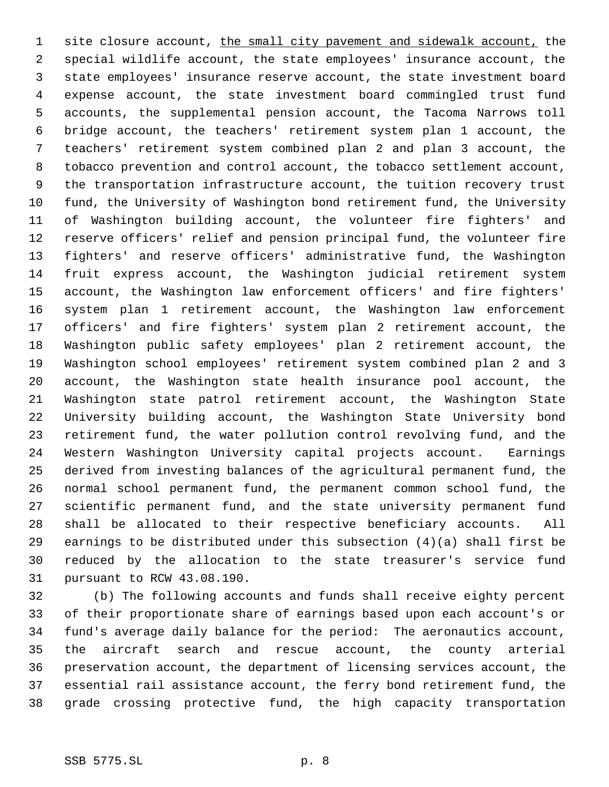1 site closure account, the small city pavement and sidewalk account, the special wildlife account, the state employees' insurance account, the state employees' insurance reserve account, the state investment board expense account, the state investment board commingled trust fund accounts, the supplemental pension account, the Tacoma Narrows toll bridge account, the teachers' retirement system plan 1 account, the teachers' retirement system combined plan 2 and plan 3 account, the tobacco prevention and control account, the tobacco settlement account, the transportation infrastructure account, the tuition recovery trust fund, the University of Washington bond retirement fund, the University of Washington building account, the volunteer fire fighters' and reserve officers' relief and pension principal fund, the volunteer fire fighters' and reserve officers' administrative fund, the Washington fruit express account, the Washington judicial retirement system account, the Washington law enforcement officers' and fire fighters' system plan 1 retirement account, the Washington law enforcement officers' and fire fighters' system plan 2 retirement account, the Washington public safety employees' plan 2 retirement account, the Washington school employees' retirement system combined plan 2 and 3 account, the Washington state health insurance pool account, the Washington state patrol retirement account, the Washington State University building account, the Washington State University bond retirement fund, the water pollution control revolving fund, and the Western Washington University capital projects account. Earnings derived from investing balances of the agricultural permanent fund, the normal school permanent fund, the permanent common school fund, the scientific permanent fund, and the state university permanent fund shall be allocated to their respective beneficiary accounts. All earnings to be distributed under this subsection (4)(a) shall first be reduced by the allocation to the state treasurer's service fund pursuant to RCW 43.08.190.

 (b) The following accounts and funds shall receive eighty percent of their proportionate share of earnings based upon each account's or fund's average daily balance for the period: The aeronautics account, the aircraft search and rescue account, the county arterial preservation account, the department of licensing services account, the essential rail assistance account, the ferry bond retirement fund, the grade crossing protective fund, the high capacity transportation